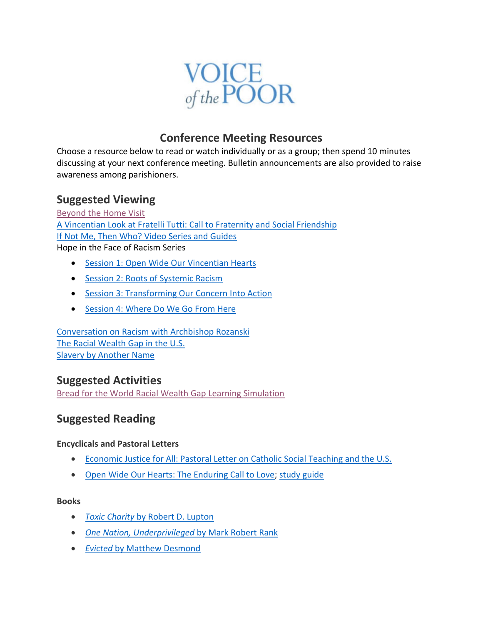

## **Conference Meeting Resources**

Choose a resource below to read or watch individually or as a group; then spend 10 minutes discussing at your next conference meeting. Bulletin announcements are also provided to raise awareness among parishioners.

## **Suggested Viewing**

[Beyond the Home Visit](http://ssvpusa.org/systemicchange/beyond-the-home-visit/) [A Vincentian Look at Fratelli Tutti: Call to Fraternity and Social Friendship](https://vimeo.com/482762219) [If Not Me, Then Who? Video Series and Guides](https://ssvpusa.org/systemicchange/communication-across-barriers/) Hope in the Face of Racism Series

- [Session 1: Open Wide Our Vincentian Hearts](https://vimeo.com/429383857)
- [Session 2: Roots of Systemic Racism](https://vimeo.com/430409370)
- [Session 3: Transforming Our Concern Into Action](https://vimeo.com/432513453)
- [Session 4: Where Do We Go From Here](https://vimeo.com/434734480)

[Conversation on Racism with Archbishop Rozanski](https://www.youtube.com/watch?v=-7j7F39tYPs) [The Racial Wealth Gap in the U.S.](https://www.youtube.com/watch?v=pokoEWFx5kw) [Slavery by Another Name](https://www.pbs.org/video/slavery-another-name-slavery-video/)

## **Suggested Activities**

[Bread for the World Racial Wealth Gap Learning Simulation](https://www.bread.org/sites/default/files/rwgls_vitual_ppt_final.pptx)

# **Suggested Reading**

### **Encyclicals and Pastoral Letters**

- [Economic Justice for All: Pastoral Letter on Catholic Social Teaching and the U.S.](https://www.usccb.org/upload/economic_justice_for_all.pdf)
- [Open Wide Our Hearts: The Enduring Call to Love;](https://www.usccb.org/issues-and-action/human-life-and-dignity/racism/upload/open-wide-our-hearts.pdf) [study guide](https://www.usccb.org/resources/study-guide-open-hearts-2019-09_0.pdf)

#### **Books**

- *Toxic Charity* [by Robert D. Lupton](https://www.amazon.com/Toxic-Charity-Churches-Charities-Reverse/dp/0062076213/ref=sr_1_1?keywords=toxic+charity&qid=1638502542&sr=8-1)
- *[One Nation, Underprivileged](https://www.amazon.com/One-Nation-Underprivileged-American-Poverty-dp-0195189728/dp/0195189728/ref=mt_other?_encoding=UTF8&me=&qid=1638503733)* by Mark Robert Rank
- *Evicted* [by Matthew Desmond](https://www.amazon.com/Evicted-Poverty-Profit-American-City/dp/0553447459/ref=sr_1_1?keywords=%E2%80%A2+Evicted+by+Matthew+Desmond&qid=1638503777&s=books&sr=1-1)